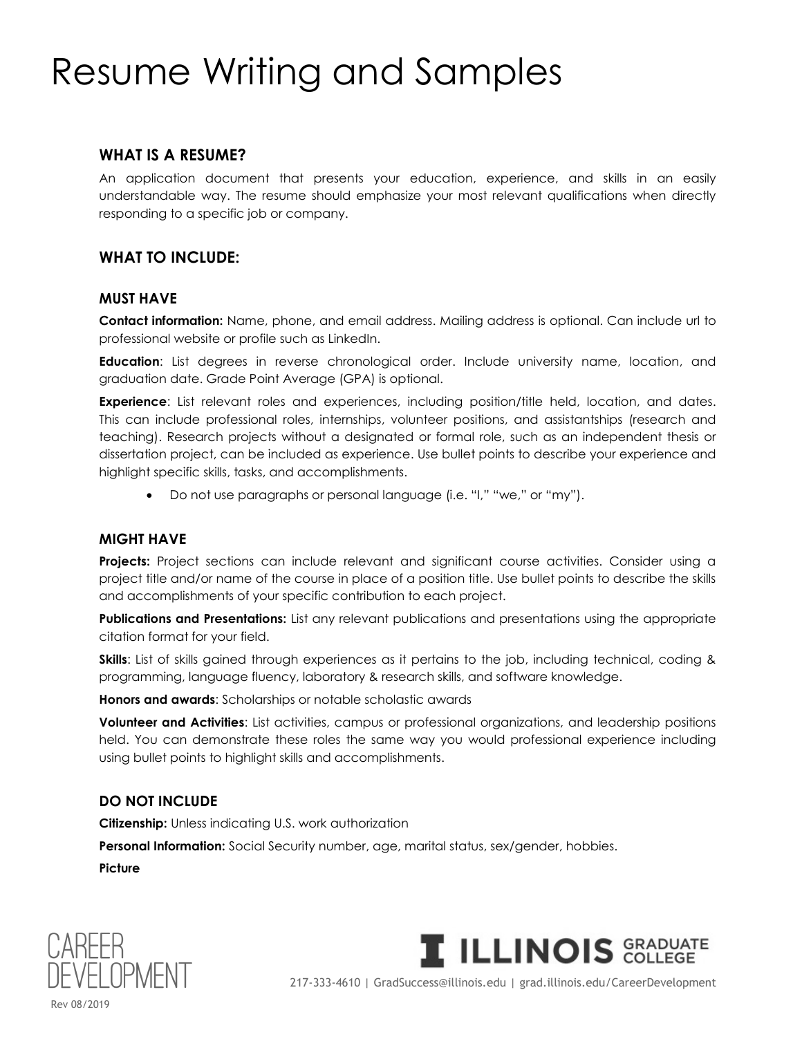# Resume Writing and Samples

## **WHAT IS A RESUME?**

An application document that presents your education, experience, and skills in an easily understandable way. The resume should emphasize your most relevant qualifications when directly responding to a specific job or company.

#### **WHAT TO INCLUDE:**

#### **MUST HAVE**

**Contact information:** Name, phone, and email address. Mailing address is optional. Can include url to professional website or profile such as LinkedIn.

**Education**: List degrees in reverse chronological order. Include university name, location, and graduation date. Grade Point Average (GPA) is optional.

**Experience**: List relevant roles and experiences, including position/title held, location, and dates. This can include professional roles, internships, volunteer positions, and assistantships (research and teaching). Research projects without a designated or formal role, such as an independent thesis or dissertation project, can be included as experience. Use bullet points to describe your experience and highlight specific skills, tasks, and accomplishments.

• Do not use paragraphs or personal language (i.e. "I," "we," or "my").

#### **MIGHT HAVE**

**Projects:** Project sections can include relevant and significant course activities. Consider using a project title and/or name of the course in place of a position title. Use bullet points to describe the skills and accomplishments of your specific contribution to each project.

**Publications and Presentations:** List any relevant publications and presentations using the appropriate citation format for your field.

**Skills**: List of skills gained through experiences as it pertains to the job, including technical, coding & programming, language fluency, laboratory & research skills, and software knowledge.

**Honors and awards**: Scholarships or notable scholastic awards

**Volunteer and Activities**: List activities, campus or professional organizations, and leadership positions held. You can demonstrate these roles the same way you would professional experience including using bullet points to highlight skills and accomplishments.

#### **DO NOT INCLUDE**

**Citizenship:** Unless indicating U.S. work authorization

**Personal Information:** Social Security number, age, marital status, sex/gender, hobbies.

**Picture**





217-333-4610 | GradSuccess@illinois.edu | grad.illinois.edu/CareerDevelopment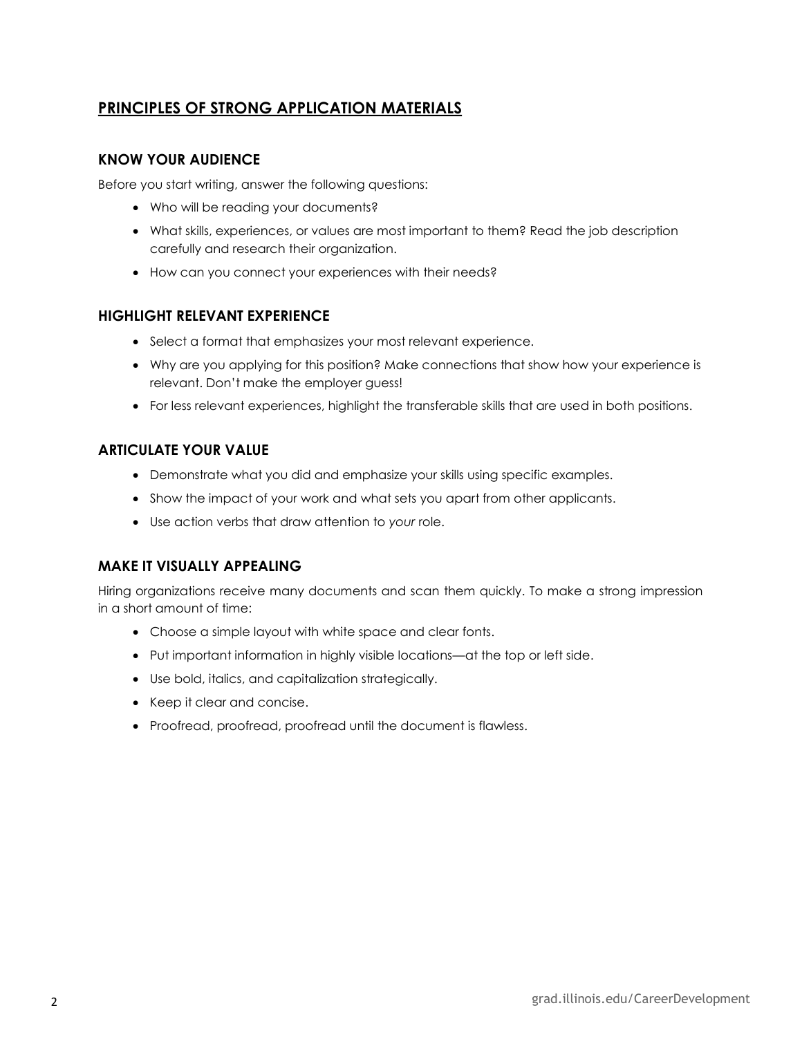## **PRINCIPLES OF STRONG APPLICATION MATERIALS**

#### **KNOW YOUR AUDIENCE**

Before you start writing, answer the following questions:

- Who will be reading your documents?
- What skills, experiences, or values are most important to them? Read the job description carefully and research their organization.
- How can you connect your experiences with their needs?

#### **HIGHLIGHT RELEVANT EXPERIENCE**

- Select a format that emphasizes your most relevant experience.
- Why are you applying for this position? Make connections that show how your experience is relevant. Don't make the employer guess!
- For less relevant experiences, highlight the transferable skills that are used in both positions.

#### **ARTICULATE YOUR VALUE**

- Demonstrate what you did and emphasize your skills using specific examples.
- Show the impact of your work and what sets you apart from other applicants.
- Use action verbs that draw attention to *your* role.

#### **MAKE IT VISUALLY APPEALING**

Hiring organizations receive many documents and scan them quickly. To make a strong impression in a short amount of time:

- Choose a simple layout with white space and clear fonts.
- Put important information in highly visible locations—at the top or left side.
- Use bold, italics, and capitalization strategically.
- Keep it clear and concise.
- Proofread, proofread, proofread until the document is flawless.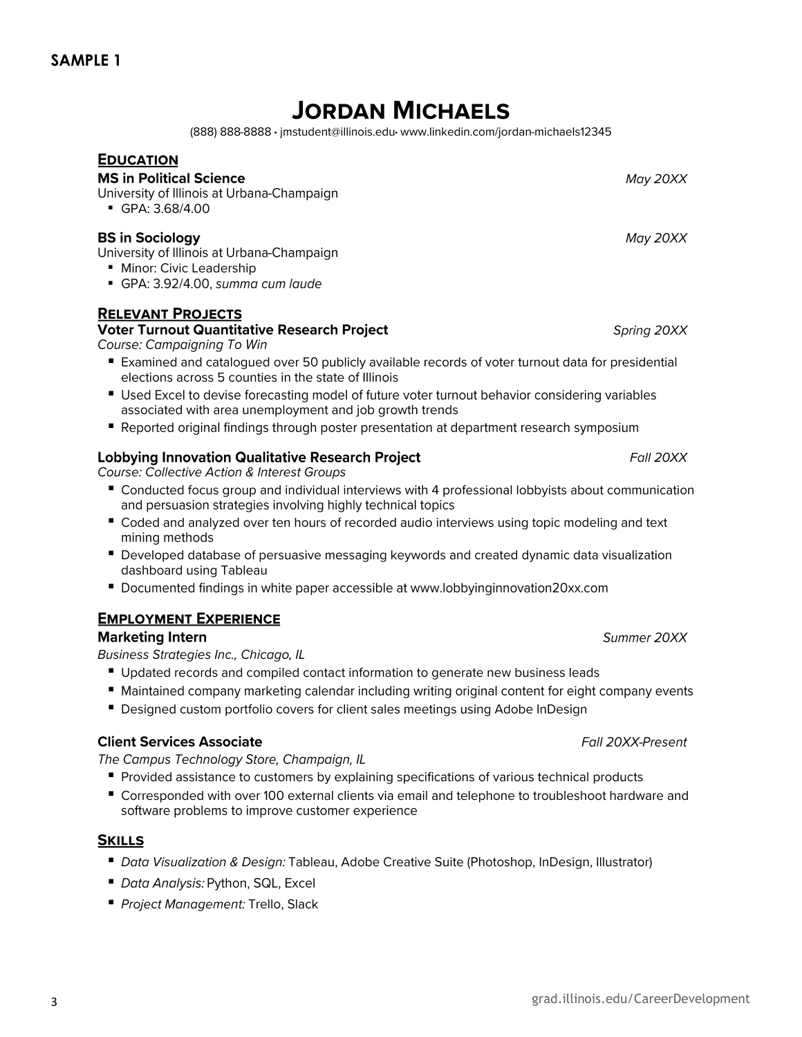## **JORDAN MICHAELS**

(888) 888-8888 · imstudent@illinois.edu · www.linkedin.com/jordan-michaels12345

## **EDUCATION**

## **MS in Political Science**

University of Illinois at Urbana-Champaign

• GPA: 3.68/4.00

## **BS in Sociology**

University of Illinois at Urbana-Champaign

- **I** Minor: Civic Leadership
- GPA: 3.92/4.00, summa cum laude

## **RELEVANT PROJECTS**

## **Voter Turnout Quantitative Research Project**

Course: Campaigning To Win

- Examined and catalogued over 50 publicly available records of voter turnout data for presidential elections across 5 counties in the state of Illinois
- Used Excel to devise forecasting model of future voter turnout behavior considering variables associated with area unemployment and job growth trends
- Reported original findings through poster presentation at department research symposium

## **Lobbying Innovation Qualitative Research Project**

Course: Collective Action & Interest Groups

- Conducted focus group and individual interviews with 4 professional lobbyists about communication and persuasion strategies involving highly technical topics
- Coded and analyzed over ten hours of recorded audio interviews using topic modeling and text mining methods
- Developed database of persuasive messaging keywords and created dynamic data visualization dashboard using Tableau
- Documented findings in white paper accessible at www.lobbyinginnovation20xx.com

## **EMPLOYMENT EXPERIENCE**

## **Marketing Intern**

Business Strategies Inc., Chicago, IL

- Updated records and compiled contact information to generate new business leads
- Maintained company marketing calendar including writing original content for eight company events
- Designed custom portfolio covers for client sales meetings using Adobe InDesign

## **Client Services Associate**

The Campus Technology Store, Champaign, IL

- Provided assistance to customers by explaining specifications of various technical products
- Corresponded with over 100 external clients via email and telephone to troubleshoot hardware and software problems to improve customer experience

## **SKILLS**

- Data Visualization & Design: Tableau, Adobe Creative Suite (Photoshop, InDesign, Illustrator)
- Data Analysis: Python, SQL, Excel
- Project Management: Trello, Slack

## May 20XX

May 20XX

Spring 20XX

Fall 20XX

Summer 20XX

Fall 20XX-Present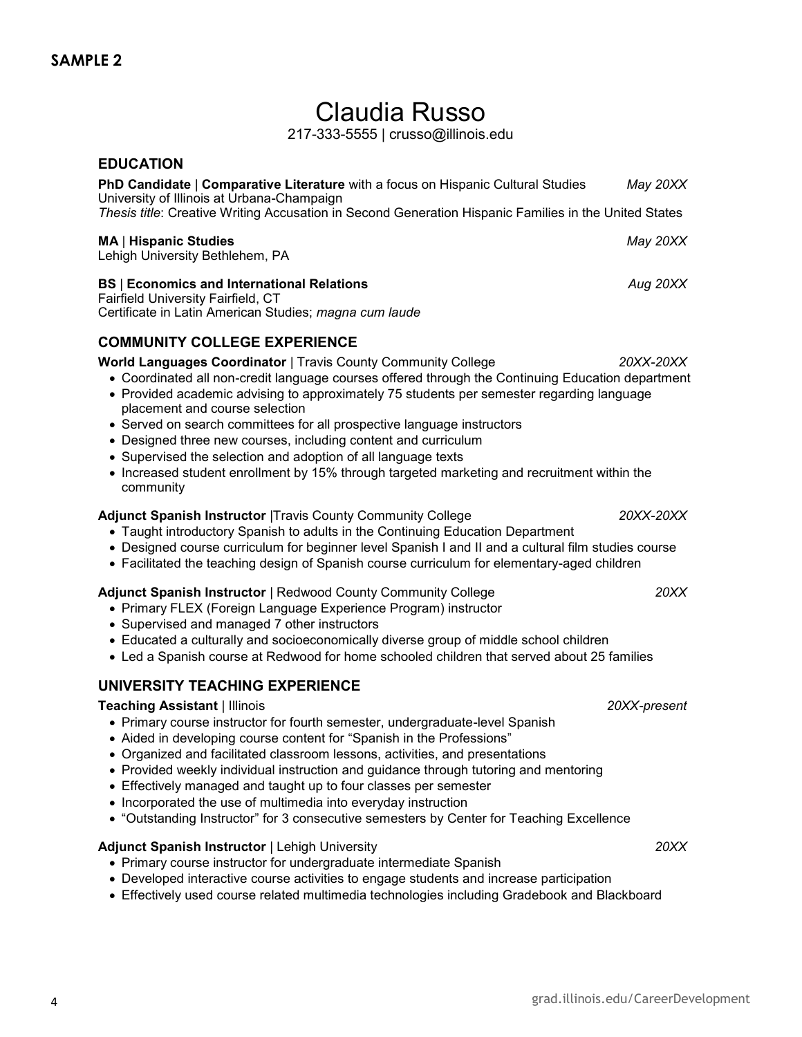## Claudia Russo

217-333-5555 | crusso@illinois.edu

## **EDUCATION PhD Candidate** | **Comparative Literature** with a focus on Hispanic Cultural Studies *May 20XX* University of Illinois at Urbana-Champaign *Thesis title*: Creative Writing Accusation in Second Generation Hispanic Families in the United States **MA** | **Hispanic Studies** *May 20XX* Lehigh University Bethlehem, PA **BS** | **Economics and International Relations** *Aug 20XX* Fairfield University Fairfield, CT Certificate in Latin American Studies; *magna cum laude* **COMMUNITY COLLEGE EXPERIENCE World Languages Coordinator** | Travis County Community College *20XX-20XX* • Coordinated all non-credit language courses offered through the Continuing Education department • Provided academic advising to approximately 75 students per semester regarding language placement and course selection • Served on search committees for all prospective language instructors • Designed three new courses, including content and curriculum • Supervised the selection and adoption of all language texts • Increased student enrollment by 15% through targeted marketing and recruitment within the community **Adjunct Spanish Instructor** |Travis County Community College *20XX-20XX* • Taught introductory Spanish to adults in the Continuing Education Department • Designed course curriculum for beginner level Spanish I and II and a cultural film studies course • Facilitated the teaching design of Spanish course curriculum for elementary-aged children

#### **Adjunct Spanish Instructor** | Redwood County Community College *20XX*

- Primary FLEX (Foreign Language Experience Program) instructor
- Supervised and managed 7 other instructors
- Educated a culturally and socioeconomically diverse group of middle school children
- Led a Spanish course at Redwood for home schooled children that served about 25 families

#### **UNIVERSITY TEACHING EXPERIENCE**

#### **Teaching Assistant** | Illinois *20XX-present*

- Primary course instructor for fourth semester, undergraduate-level Spanish
- Aided in developing course content for "Spanish in the Professions"
- Organized and facilitated classroom lessons, activities, and presentations
- Provided weekly individual instruction and guidance through tutoring and mentoring
- Effectively managed and taught up to four classes per semester
- Incorporated the use of multimedia into everyday instruction
- "Outstanding Instructor" for 3 consecutive semesters by Center for Teaching Excellence

#### **Adjunct Spanish Instructor** | Lehigh University *20XX*

- Primary course instructor for undergraduate intermediate Spanish
- Developed interactive course activities to engage students and increase participation
- Effectively used course related multimedia technologies including Gradebook and Blackboard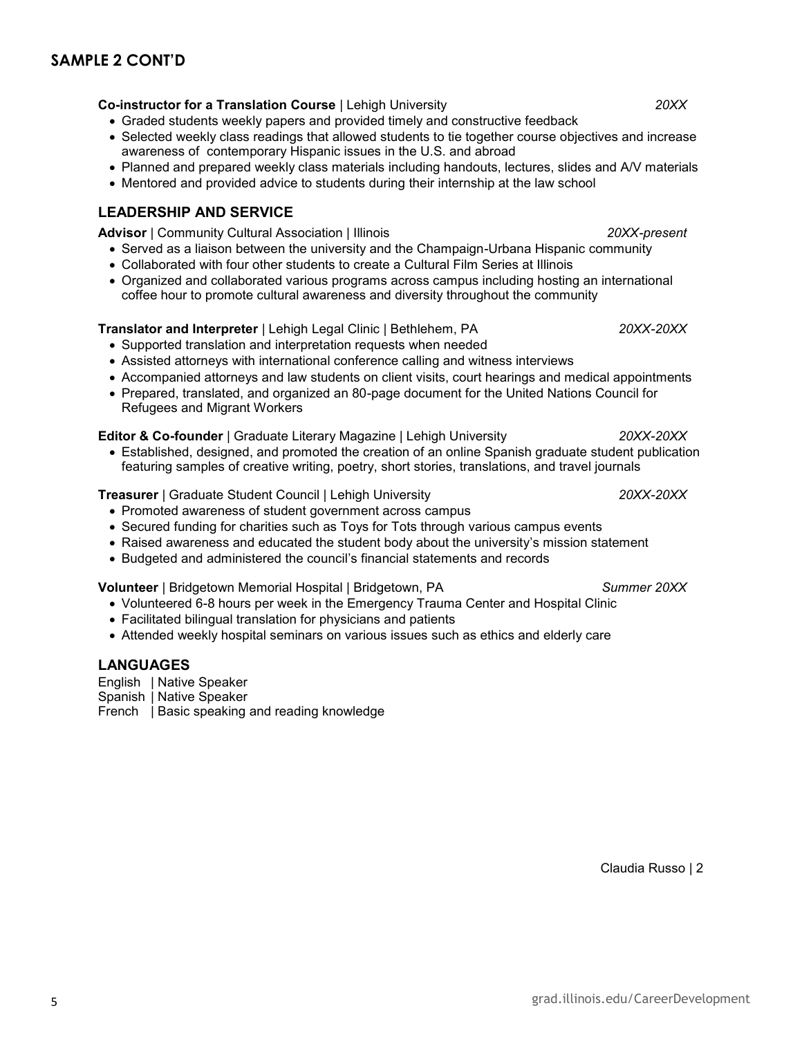## **SAMPLE 2 CONT'D**

**Co-instructor for a Translation Course** | Lehigh University *20XX*

- Graded students weekly papers and provided timely and constructive feedback
- Selected weekly class readings that allowed students to tie together course objectives and increase awareness of contemporary Hispanic issues in the U.S. and abroad
- Planned and prepared weekly class materials including handouts, lectures, slides and A/V materials
- Mentored and provided advice to students during their internship at the law school

## **LEADERSHIP AND SERVICE**

**Advisor** | Community Cultural Association | Illinois *20XX-present*

- Served as a liaison between the university and the Champaign-Urbana Hispanic community
- Collaborated with four other students to create a Cultural Film Series at Illinois
- Organized and collaborated various programs across campus including hosting an international coffee hour to promote cultural awareness and diversity throughout the community

## **Translator and Interpreter** | Lehigh Legal Clinic | Bethlehem, PA *20XX-20XX*

- Supported translation and interpretation requests when needed
- Assisted attorneys with international conference calling and witness interviews
- Accompanied attorneys and law students on client visits, court hearings and medical appointments
- Prepared, translated, and organized an 80-page document for the United Nations Council for Refugees and Migrant Workers

## **Editor & Co-founder** | Graduate Literary Magazine | Lehigh University *20XX-20XX*

• Established, designed, and promoted the creation of an online Spanish graduate student publication featuring samples of creative writing, poetry, short stories, translations, and travel journals

**Treasurer** | Graduate Student Council | Lehigh University *20XX-20XX*

- Promoted awareness of student government across campus
- Secured funding for charities such as Toys for Tots through various campus events
- Raised awareness and educated the student body about the university's mission statement
- Budgeted and administered the council's financial statements and records

## **Volunteer** | Bridgetown Memorial Hospital | Bridgetown, PA *Summer 20XX*

- Volunteered 6-8 hours per week in the Emergency Trauma Center and Hospital Clinic
- Facilitated bilingual translation for physicians and patients
- Attended weekly hospital seminars on various issues such as ethics and elderly care

## **LANGUAGES**

English | Native Speaker Spanish | Native Speaker French | Basic speaking and reading knowledge

Claudia Russo | 2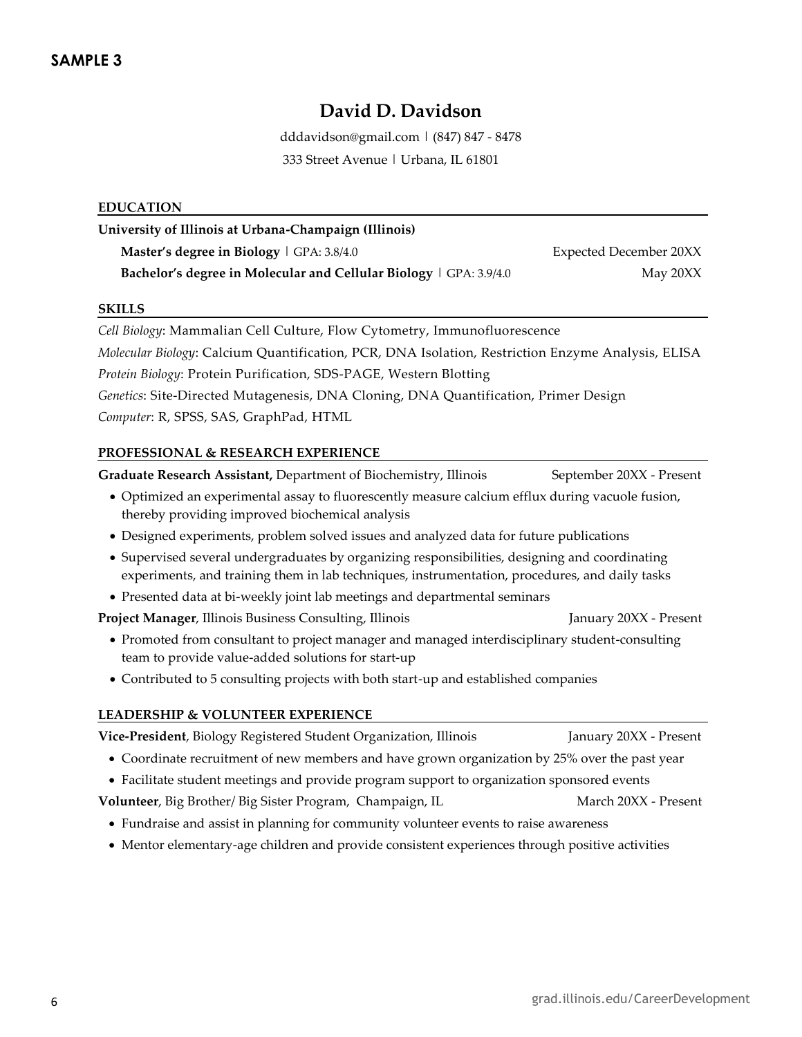## **David D. Davidson**

dddavidson@gmail.com | (847) 847 - 8478 333 Street Avenue | Urbana, IL 61801

#### **EDUCATION**

**University of Illinois at Urbana-Champaign (Illinois) Master's degree in Biology** | GPA: 3.8/4.0 Expected December 20XX **Bachelor's degree in Molecular and Cellular Biology** | GPA: 3.9/4.0 May 20XX

#### **SKILLS**

*Cell Biology*: Mammalian Cell Culture, Flow Cytometry, Immunofluorescence *Molecular Biology*: Calcium Quantification, PCR, DNA Isolation, Restriction Enzyme Analysis, ELISA *Protein Biology*: Protein Purification, SDS-PAGE, Western Blotting *Genetics*: Site-Directed Mutagenesis, DNA Cloning, DNA Quantification, Primer Design *Computer*: R, SPSS, SAS, GraphPad, HTML

#### **PROFESSIONAL & RESEARCH EXPERIENCE**

Graduate Research Assistant, Department of Biochemistry, Illinois September 20XX - Present

- Optimized an experimental assay to fluorescently measure calcium efflux during vacuole fusion, thereby providing improved biochemical analysis
- Designed experiments, problem solved issues and analyzed data for future publications
- Supervised several undergraduates by organizing responsibilities, designing and coordinating experiments, and training them in lab techniques, instrumentation, procedures, and daily tasks
- Presented data at bi-weekly joint lab meetings and departmental seminars

**Project Manager**, Illinois Business Consulting, Illinois January 20XX - Present

- Promoted from consultant to project manager and managed interdisciplinary student-consulting team to provide value-added solutions for start-up
- Contributed to 5 consulting projects with both start-up and established companies

#### **LEADERSHIP & VOLUNTEER EXPERIENCE**

| Vice-President, Biology Registered Student Organization, Illinois                               | January 20XX - Present |  |
|-------------------------------------------------------------------------------------------------|------------------------|--|
| • Coordinate recruitment of new members and have grown organization by 25% over the past year   |                        |  |
| • Facilitate student meetings and provide program support to organization sponsored events      |                        |  |
| Volunteer, Big Brother/ Big Sister Program, Champaign, IL                                       | March 20XX - Present   |  |
| • Fundraise and assist in planning for community volunteer events to raise awareness            |                        |  |
| • Mentor elementary-age children and provide consistent experiences through positive activities |                        |  |
|                                                                                                 |                        |  |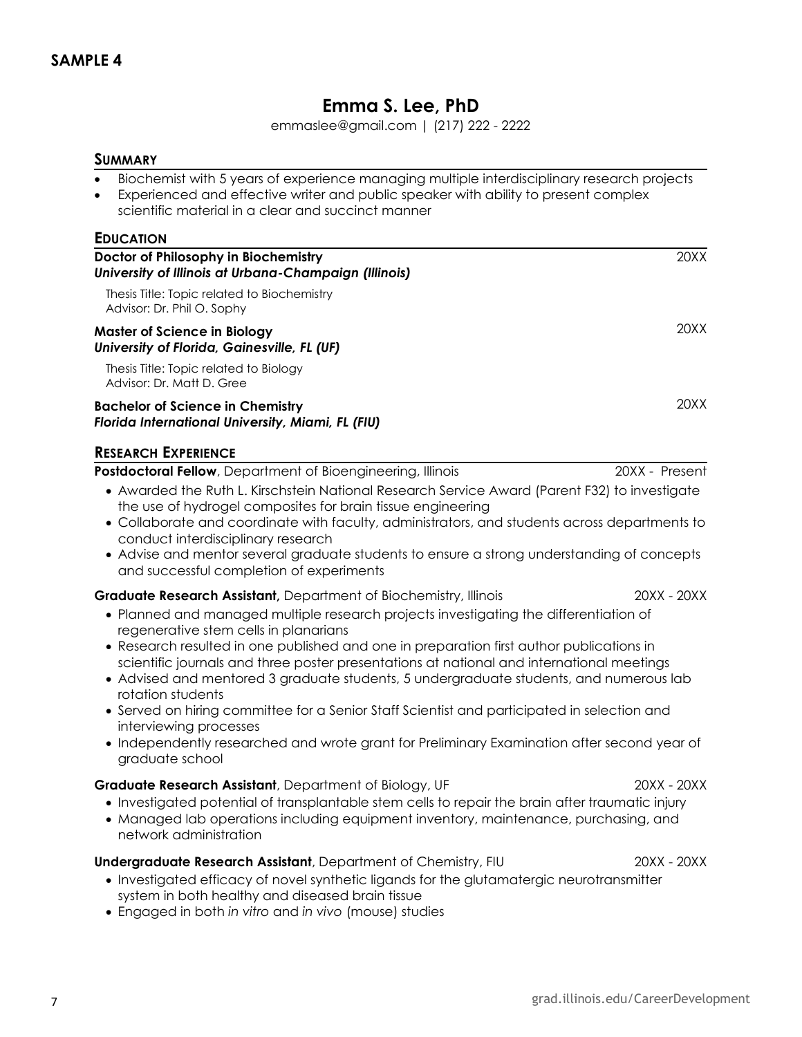## **Emma S. Lee, PhD**

emmaslee@gmail.com | (217) 222 - 2222

## **SUMMARY**

- Biochemist with 5 years of experience managing multiple interdisciplinary research projects
- Experienced and effective writer and public speaker with ability to present complex scientific material in a clear and succinct manner

| <b>EDUCATION</b>                                                                                                                                                                                                                                                                                                                                                                                                                                                                                                                                                                                                                                                                                                                                               |                |
|----------------------------------------------------------------------------------------------------------------------------------------------------------------------------------------------------------------------------------------------------------------------------------------------------------------------------------------------------------------------------------------------------------------------------------------------------------------------------------------------------------------------------------------------------------------------------------------------------------------------------------------------------------------------------------------------------------------------------------------------------------------|----------------|
| Doctor of Philosophy in Biochemistry<br>University of Illinois at Urbana-Champaign (Illinois)                                                                                                                                                                                                                                                                                                                                                                                                                                                                                                                                                                                                                                                                  | 20XX           |
| Thesis Title: Topic related to Biochemistry<br>Advisor: Dr. Phil O. Sophy                                                                                                                                                                                                                                                                                                                                                                                                                                                                                                                                                                                                                                                                                      |                |
| <b>Master of Science in Biology</b><br>University of Florida, Gainesville, FL (UF)                                                                                                                                                                                                                                                                                                                                                                                                                                                                                                                                                                                                                                                                             | 20XX           |
| Thesis Title: Topic related to Biology<br>Advisor: Dr. Matt D. Gree                                                                                                                                                                                                                                                                                                                                                                                                                                                                                                                                                                                                                                                                                            |                |
| <b>Bachelor of Science in Chemistry</b><br>Florida International University, Miami, FL (FIU)                                                                                                                                                                                                                                                                                                                                                                                                                                                                                                                                                                                                                                                                   | 20XX           |
| <b>RESEARCH EXPERIENCE</b>                                                                                                                                                                                                                                                                                                                                                                                                                                                                                                                                                                                                                                                                                                                                     |                |
| Postdoctoral Fellow, Department of Bioengineering, Illinois<br>• Awarded the Ruth L. Kirschstein National Research Service Award (Parent F32) to investigate<br>the use of hydrogel composites for brain tissue engineering<br>• Collaborate and coordinate with faculty, administrators, and students across departments to<br>conduct interdisciplinary research<br>• Advise and mentor several graduate students to ensure a strong understanding of concepts<br>and successful completion of experiments                                                                                                                                                                                                                                                   | 20XX - Present |
| <b>Graduate Research Assistant</b> , Department of Biochemistry, Illinois<br>• Planned and managed multiple research projects investigating the differentiation of<br>regenerative stem cells in planarians<br>• Research resulted in one published and one in preparation first author publications in<br>scientific journals and three poster presentations at national and international meetings<br>• Advised and mentored 3 graduate students, 5 undergraduate students, and numerous lab<br>rotation students<br>• Served on hiring committee for a Senior Staff Scientist and participated in selection and<br>interviewing processes<br>• Independently researched and wrote grant for Preliminary Examination after second year of<br>graduate school | 20XX - 20XX    |
| Graduate Research Assistant, Department of Biology, UF<br>• Investigated potential of transplantable stem cells to repair the brain after traumatic injury<br>Managed lab operations including equipment inventory, maintenance, purchasing, and<br>network administration                                                                                                                                                                                                                                                                                                                                                                                                                                                                                     | 20XX - 20XX    |
| <b>Undergraduate Research Assistant</b> , Department of Chemistry, FIU<br>• Investigated efficacy of novel synthetic ligands for the glutamatergic neurotransmitter<br>system in both healthy and diseased brain tissue<br>• Engaged in both in vitro and in vivo (mouse) studies                                                                                                                                                                                                                                                                                                                                                                                                                                                                              | 20XX - 20XX    |